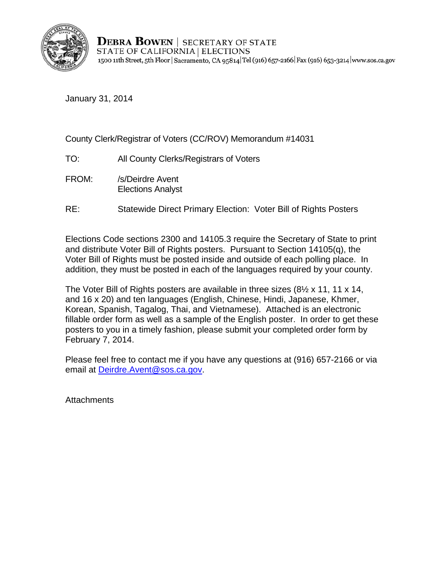

**DEBRA BOWEN** SECRETARY OF STATE STATE OF CALIFORNIA | ELECTIONS 1500 11th Street, 5th Floor | Sacramento, CA 95814 Tel (916) 657-2166 | Fax (916) 653-3214 | www.sos.ca.gov

January 31, 2014

#### County Clerk/Registrar of Voters (CC/ROV) Memorandum #14031

- TO: All County Clerks/Registrars of Voters
- FROM: /s/Deirdre Avent Elections Analyst
- RE: Statewide Direct Primary Election: Voter Bill of Rights Posters

Elections Code sections 2300 and 14105.3 require the Secretary of State to print and distribute Voter Bill of Rights posters. Pursuant to Section 14105(q), the Voter Bill of Rights must be posted inside and outside of each polling place. In addition, they must be posted in each of the languages required by your county.

February 7, 2014. The Voter Bill of Rights posters are available in three sizes  $(8\frac{1}{2} \times 11, 11 \times 14, 14)$ and 16 x 20) and ten languages (English, Chinese, Hindi, Japanese, Khmer, Korean, Spanish, Tagalog, Thai, and Vietnamese). Attached is an electronic fillable order form as well as a sample of the English poster. In order to get these posters to you in a timely fashion, please submit your completed order form by

Please feel free to contact me if you have any questions at (916) 657-2166 or via email at Deirdre.Avent@sos.ca.gov.

**Attachments**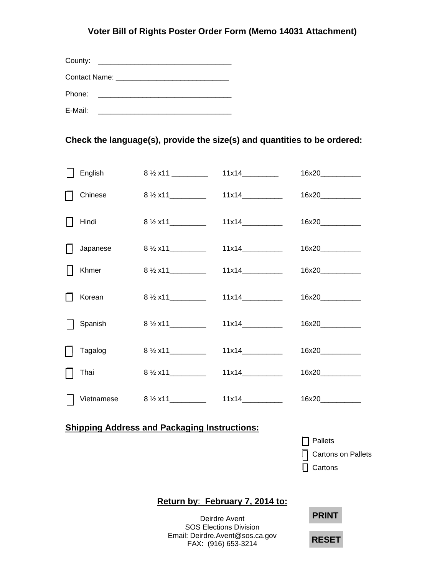### **Voter Bill of Rights Poster Order Form (Memo 14031 Attachment)**

| County:                         |  |  |  |  |  |  |
|---------------------------------|--|--|--|--|--|--|
| Contact Name: The Contact Name: |  |  |  |  |  |  |
| Phone:                          |  |  |  |  |  |  |
| E-Mail:                         |  |  |  |  |  |  |

#### **Check the language(s), provide the size(s) and quantities to be ordered:**

|                                                     | English  | $8\frac{1}{2}$ x11 _________           |       | 16x20                                    |  |  |
|-----------------------------------------------------|----------|----------------------------------------|-------|------------------------------------------|--|--|
|                                                     | Chinese  | $8\frac{1}{2}x11$                      | 11x14 | 16x20____________                        |  |  |
|                                                     | Hindi    |                                        | 11x14 |                                          |  |  |
|                                                     | Japanese |                                        | 11x14 |                                          |  |  |
|                                                     | Khmer    |                                        |       | 16x20____________                        |  |  |
|                                                     | Korean   | $8\frac{1}{2}$ x11__________           | 11x14 |                                          |  |  |
|                                                     | Spanish  | $8\frac{1}{2}x11$                      | 11x14 | 16x20____________                        |  |  |
|                                                     | Tagalog  | $8\frac{1}{2}$ x11                     | 11x14 | 16x20____________                        |  |  |
|                                                     | Thai     | $8\frac{1}{2}x11$                      |       | 16x20___________                         |  |  |
|                                                     |          | Vietnamese $8\frac{1}{2}x11$ _________ |       | 16x20____________                        |  |  |
| <b>Shipping Address and Packaging Instructions:</b> |          |                                        |       |                                          |  |  |
|                                                     |          |                                        |       | Pallets<br>Cartons on Pallets<br>Cartons |  |  |
| Return by: February 7, 2014 to:                     |          |                                        |       |                                          |  |  |
|                                                     |          | <b>PRINT</b><br><b>RESET</b>           |       |                                          |  |  |